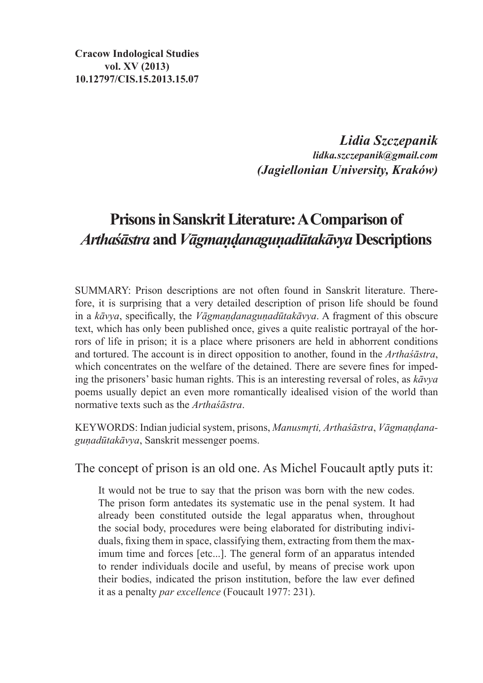**Cracow Indological Studies vol. XV (2013) 10.12797/CIS.15.2013.15.07**

> *Lidia Szczepanik lidka.szczepanik@gmail.com (Jagiellonian University, Kraków)*

## **Prisons in Sanskrit Literature: A Comparison of**  *Arthaśāstra* **and** *Vāgmaṇḍanaguṇadūtakāvya* **Descriptions**

SUMMARY: Prison descriptions are not often found in Sanskrit literature. Therefore, it is surprising that a very detailed description of prison life should be found in a *kāvya*, specifically, the *Vāgmaṇḍanaguṇadūtakāvya*. A fragment of this obscure text, which has only been published once, gives a quite realistic portrayal of the horrors of life in prison; it is a place where prisoners are held in abhorrent conditions and tortured. The account is in direct opposition to another, found in the *Arthaśāstra*, which concentrates on the welfare of the detained. There are severe fines for impeding the prisoners' basic human rights. This is an interesting reversal of roles, as *kāvya* poems usually depict an even more romantically idealised vision of the world than normative texts such as the *Arthaśāstra*.

KEYWORDS: Indian judicial system, prisons, *Manusmr̥ti, Arthaśāstra*, *Vāgmaṇḍanaguṇadūtakāvya*, Sanskrit messenger poems.

The concept of prison is an old one. As Michel Foucault aptly puts it:

It would not be true to say that the prison was born with the new codes. The prison form antedates its systematic use in the penal system. It had already been constituted outside the legal apparatus when, throughout the social body, procedures were being elaborated for distributing individuals, fixing them in space, classifying them, extracting from them the maximum time and forces [etc...]. The general form of an apparatus intended to render individuals docile and useful, by means of precise work upon their bodies, indicated the prison institution, before the law ever defined it as a penalty *par excellence* (Foucault 1977: 231).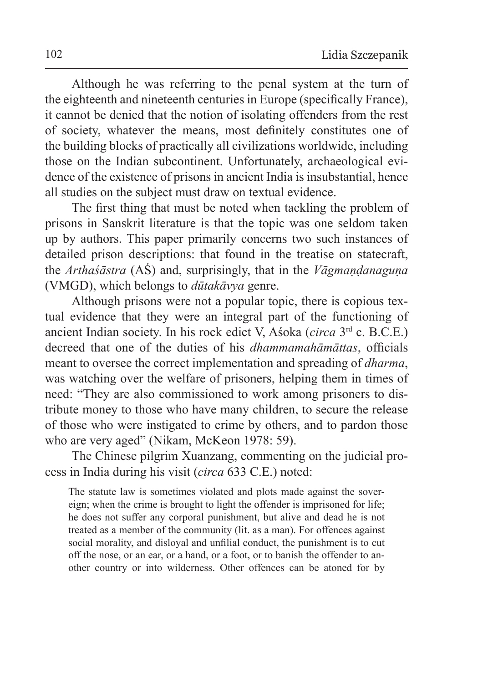Although he was referring to the penal system at the turn of the eighteenth and nineteenth centuries in Europe (specifically France), it cannot be denied that the notion of isolating offenders from the rest of society, whatever the means, most definitely constitutes one of the building blocks of practically all civilizations worldwide, including those on the Indian subcontinent. Unfortunately, archaeological evidence of the existence of prisons in ancient India is insubstantial, hence all studies on the subject must draw on textual evidence.

The first thing that must be noted when tackling the problem of prisons in Sanskrit literature is that the topic was one seldom taken up by authors. This paper primarily concerns two such instances of detailed prison descriptions: that found in the treatise on statecraft, the *Arthaśāstra* (AŚ) and, surprisingly, that in the *Vāgmaṇḍanaguṇa* (VMGD), which belongs to *dūtakāvya* genre.

Although prisons were not a popular topic, there is copious textual evidence that they were an integral part of the functioning of ancient Indian society. In his rock edict V, Aśoka (*circa* 3rd c. B.C.E.) decreed that one of the duties of his *dhammamahāmāttas*, officials meant to oversee the correct implementation and spreading of *dharma*, was watching over the welfare of prisoners, helping them in times of need: "They are also commissioned to work among prisoners to distribute money to those who have many children, to secure the release of those who were instigated to crime by others, and to pardon those who are very aged" (Nikam, McKeon 1978: 59).

The Chinese pilgrim Xuanzang, commenting on the judicial process in India during his visit (*circa* 633 C.E.) noted:

The statute law is sometimes violated and plots made against the sovereign; when the crime is brought to light the offender is imprisoned for life; he does not suffer any corporal punishment, but alive and dead he is not treated as a member of the community (lit. as a man). For offences against social morality, and disloyal and unfilial conduct, the punishment is to cut off the nose, or an ear, or a hand, or a foot, or to banish the offender to another country or into wilderness. Other offences can be atoned for by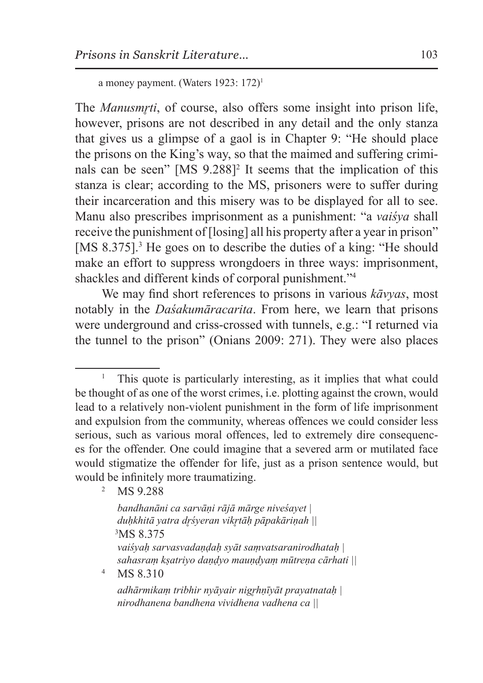a money payment. (Waters 1923: 172)<sup>1</sup>

The *Manusmr̥ti*, of course, also offers some insight into prison life, however, prisons are not described in any detail and the only stanza that gives us a glimpse of a gaol is in Chapter 9: "He should place the prisons on the King's way, so that the maimed and suffering criminals can be seen" [MS 9.288]<sup>2</sup> It seems that the implication of this stanza is clear; according to the MS, prisoners were to suffer during their incarceration and this misery was to be displayed for all to see. Manu also prescribes imprisonment as a punishment: "a *vaiśya* shall receive the punishment of [losing] all his property after a year in prison" [MS 8.375].<sup>3</sup> He goes on to describe the duties of a king: "He should make an effort to suppress wrongdoers in three ways: imprisonment, shackles and different kinds of corporal punishment."<sup>4</sup>

We may find short references to prisons in various *kāvyas*, most notably in the *Daśakumāracarita*. From here, we learn that prisons were underground and criss-crossed with tunnels, e.g.: "I returned via the tunnel to the prison" (Onians 2009: 271). They were also places

<sup>2</sup> MS 9.288

```
bandhanāni ca sarvāṇi rājā mārge niveśayet |
duḥkhitā yatra dr̥śyeran vikr̥tāḥ pāpakāriṇah || 3
MS 8.375
vaiśyaḥ sarvasvadaṇḍaḥ syāt saṃvatsaranirodhataḥ |
sahasraṃ kṣatriyo daṇḍyo mauṇḍyaṃ mūtreṇa cārhati ||
```
<sup>4</sup> MS 8.310

<sup>1</sup> This quote is particularly interesting, as it implies that what could be thought of as one of the worst crimes, i.e. plotting against the crown, would lead to a relatively non-violent punishment in the form of life imprisonment and expulsion from the community, whereas offences we could consider less serious, such as various moral offences, led to extremely dire consequences for the offender. One could imagine that a severed arm or mutilated face would stigmatize the offender for life, just as a prison sentence would, but would be infinitely more traumatizing.

*adhārmikaṃ tribhir nyāyair nigr̥hṇīyāt prayatnataḥ | nirodhanena bandhena vividhena vadhena ca ||*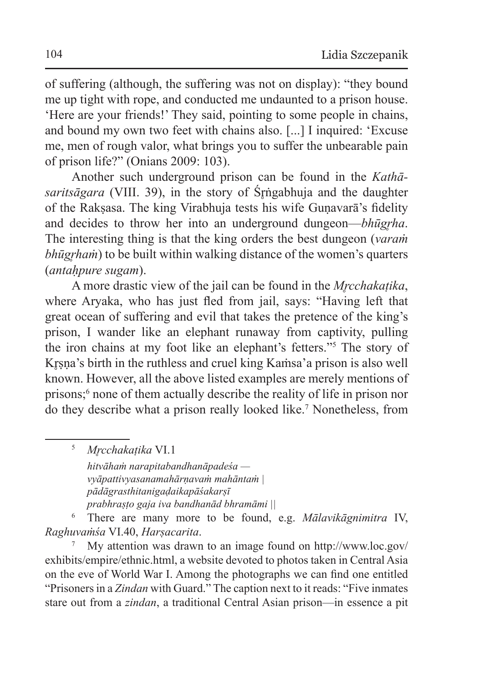of suffering (although, the suffering was not on display): "they bound me up tight with rope, and conducted me undaunted to a prison house. 'Here are your friends!' They said, pointing to some people in chains, and bound my own two feet with chains also. [...] I inquired: 'Excuse me, men of rough valor, what brings you to suffer the unbearable pain of prison life?" (Onians 2009: 103).

Another such underground prison can be found in the *Kathāsaritsāgara* (VIII. 39), in the story of Śrngabhuja and the daughter of the Rakṣasa. The king Virabhuja tests his wife Guṇavarā's fidelity and decides to throw her into an underground dungeon—*bhūgrha*. The interesting thing is that the king orders the best dungeon (*varaṁ bhūgrham*) to be built within walking distance of the women's quarters (*antaḥpure sugam*).

A more drastic view of the jail can be found in the *Mr̥cchakaṭika*, where Aryaka, who has just fled from jail, says: "Having left that great ocean of suffering and evil that takes the pretence of the king's prison, I wander like an elephant runaway from captivity, pulling the iron chains at my foot like an elephant's fetters."<sup>5</sup> The story of Krsna's birth in the ruthless and cruel king Kamsa'a prison is also well known. However, all the above listed examples are merely mentions of prisons;<sup>6</sup> none of them actually describe the reality of life in prison nor do they describe what a prison really looked like.<sup>7</sup> Nonetheless, from

<sup>5</sup> *Mr̥cchakaṭika* VI.1 *hitvāhaṁ narapitabandhanāpadeśa vyāpattivyasanamahārṇavaṁ mahāntaṁ | pādāgrasthitanigaḍaikapāśakarṣī prabhraṣṭo gaja iva bandhanād bhramāmi ||* 

<sup>6</sup> There are many more to be found, e.g. *Mālavikāgnimitra* IV, *Raghuvaṁśa* VI.40, *Harṣacarita*.

<sup>7</sup> My attention was drawn to an image found on http://www.loc.gov/ exhibits/empire/ethnic.html, a website devoted to photos taken in Central Asia on the eve of World War I. Among the photographs we can find one entitled "Prisoners in a *Zindan* with Guard." The caption next to it reads: "Five inmates stare out from a *zindan*, a traditional Central Asian prison—in essence a pit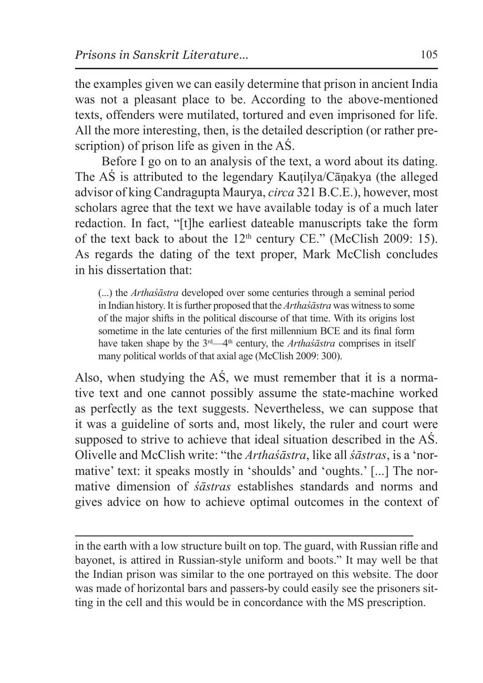the examples given we can easily determine that prison in ancient India was not a pleasant place to be. According to the above-mentioned texts, offenders were mutilated, tortured and even imprisoned for life. All the more interesting, then, is the detailed description (or rather prescription) of prison life as given in the AŚ.

Before I go on to an analysis of the text, a word about its dating. The AŚ is attributed to the legendary Kauṭilya/Cāṇakya (the alleged advisor of king Candragupta Maurya, *circa* 321 B.C.E.), however, most scholars agree that the text we have available today is of a much later redaction. In fact, "[t]he earliest dateable manuscripts take the form of the text back to about the  $12<sup>th</sup>$  century CE." (McClish 2009: 15). As regards the dating of the text proper, Mark McClish concludes in his dissertation that:

(...) the *Arthaśāstra* developed over some centuries through a seminal period in Indian history. It isfurther proposed that the *Arthaśāstra* was witness to some of the major shifts in the political discourse of that time. With its origins lost sometime in the late centuries of the first millennium BCE and its final form have taken shape by the 3<sup>rd</sup>—4<sup>th</sup> century, the *Arthaśāstra* comprises in itself many political worlds of that axial age (McClish 2009: 300).

Also, when studying the AŚ, we must remember that it is a normative text and one cannot possibly assume the state-machine worked as perfectly as the text suggests. Nevertheless, we can suppose that it was a guideline of sorts and, most likely, the ruler and court were supposed to strive to achieve that ideal situation described in the AŚ. Olivelle and McClish write: "the *Arthaśāstra*, like all *śāstras*, is a 'normative' text: it speaks mostly in 'shoulds' and 'oughts.' [...] The normative dimension of *śāstras* establishes standards and norms and gives advice on how to achieve optimal outcomes in the context of

in the earth with a low structure built on top. The guard, with Russian rifle and bayonet, is attired in Russian-style uniform and boots." It may well be that the Indian prison was similar to the one portrayed on this website. The door was made of horizontal bars and passers-by could easily see the prisoners sitting in the cell and this would be in concordance with the MS prescription.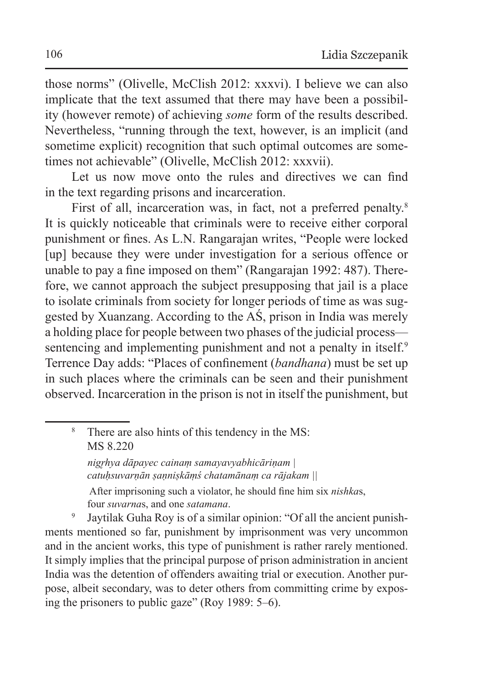those norms" (Olivelle, McClish 2012: xxxvi). I believe we can also implicate that the text assumed that there may have been a possibility (however remote) of achieving *some* form of the results described. Nevertheless, "running through the text, however, is an implicit (and sometime explicit) recognition that such optimal outcomes are sometimes not achievable" (Olivelle, McClish 2012: xxxvii).

Let us now move onto the rules and directives we can find in the text regarding prisons and incarceration.

First of all, incarceration was, in fact, not a preferred penalty.<sup>8</sup> It is quickly noticeable that criminals were to receive either corporal punishment or fines. As L.N. Rangarajan writes, "People were locked [up] because they were under investigation for a serious offence or unable to pay a fine imposed on them" (Rangarajan 1992: 487). Therefore, we cannot approach the subject presupposing that jail is a place to isolate criminals from society for longer periods of time as was suggested by Xuanzang. According to the AŚ, prison in India was merely a holding place for people between two phases of the judicial process sentencing and implementing punishment and not a penalty in itself.<sup>9</sup> Terrence Day adds: "Places of confinement (*bandhana*) must be set up in such places where the criminals can be seen and their punishment observed. Incarceration in the prison is not in itself the punishment, but

 *nigr̥hya dāpayec cainaṃ samayavyabhicāriṇam | catuḥsuvarṇān ṣaṇniṣkāṃś chatamānaṃ ca rājakam ||*

 After imprisoning such a violator, he should fine him six *nishka*s, four *suvarna*s, and one *satamana*.

Jaytilak Guha Roy is of a similar opinion: "Of all the ancient punishments mentioned so far, punishment by imprisonment was very uncommon and in the ancient works, this type of punishment is rather rarely mentioned. It simply implies that the principal purpose of prison administration in ancient India was the detention of offenders awaiting trial or execution. Another purpose, albeit secondary, was to deter others from committing crime by exposing the prisoners to public gaze" (Roy 1989: 5–6).

<sup>8</sup> There are also hints of this tendency in the MS: MS 8.220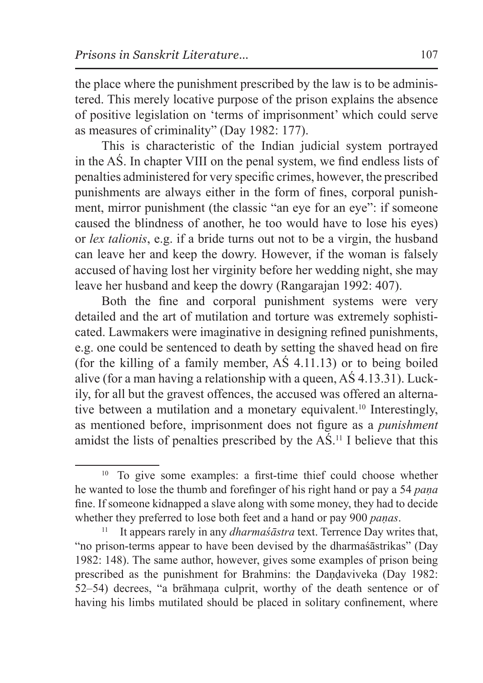the place where the punishment prescribed by the law is to be administered. This merely locative purpose of the prison explains the absence of positive legislation on 'terms of imprisonment' which could serve as measures of criminality" (Day 1982: 177).

This is characteristic of the Indian judicial system portrayed in the AŚ. In chapter VIII on the penal system, we find endless lists of penalties administered for very specific crimes, however, the prescribed punishments are always either in the form of fines, corporal punishment, mirror punishment (the classic "an eye for an eye": if someone caused the blindness of another, he too would have to lose his eyes) or *lex talionis*, e.g. if a bride turns out not to be a virgin, the husband can leave her and keep the dowry. However, if the woman is falsely accused of having lost her virginity before her wedding night, she may leave her husband and keep the dowry (Rangarajan 1992: 407).

Both the fine and corporal punishment systems were very detailed and the art of mutilation and torture was extremely sophisticated. Lawmakers were imaginative in designing refined punishments, e.g. one could be sentenced to death by setting the shaved head on fire (for the killing of a family member, AŚ 4.11.13) or to being boiled alive (for a man having a relationship with a queen, AŚ 4.13.31). Luckily, for all but the gravest offences, the accused was offered an alternative between a mutilation and a monetary equivalent.<sup>10</sup> Interestingly, as mentioned before, imprisonment does not figure as a *punishment* amidst the lists of penalties prescribed by the AŚ.11 I believe that this

<sup>10</sup> To give some examples: a first-time thief could choose whether he wanted to lose the thumb and forefinger of his right hand or pay a 54 *paṇa* fine. If someone kidnapped a slave along with some money, they had to decide whether they preferred to lose both feet and a hand or pay 900 *paṇas*.

<sup>&</sup>lt;sup>11</sup> It appears rarely in any *dharmasastra* text. Terrence Day writes that, "no prison-terms appear to have been devised by the dharmaśāstrikas" (Day 1982: 148). The same author, however, gives some examples of prison being prescribed as the punishment for Brahmins: the Daṇḍaviveka (Day 1982: 52–54) decrees, "a brāhmana culprit, worthy of the death sentence or of having his limbs mutilated should be placed in solitary confinement, where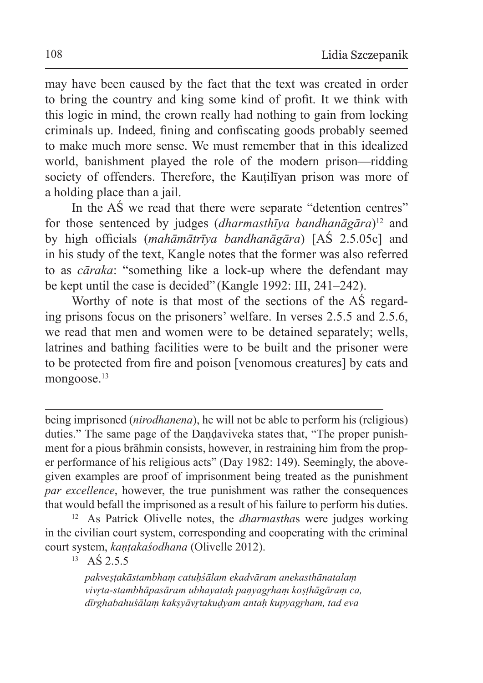may have been caused by the fact that the text was created in order to bring the country and king some kind of profit. It we think with this logic in mind, the crown really had nothing to gain from locking criminals up. Indeed, fining and confiscating goods probably seemed to make much more sense. We must remember that in this idealized world, banishment played the role of the modern prison—ridding society of offenders. Therefore, the Kautiliyan prison was more of a holding place than a jail.

In the AŚ we read that there were separate "detention centres" for those sentenced by judges (*dharmasthīya bandhanāgāra*)12 and by high officials (*mahāmātrīya bandhanāgāra*) [AŚ 2.5.05c] and in his study of the text, Kangle notes that the former was also referred to as *cāraka*: "something like a lock-up where the defendant may be kept until the case is decided" (Kangle 1992: III, 241–242).

Worthy of note is that most of the sections of the AŚ regarding prisons focus on the prisoners' welfare. In verses 2.5.5 and 2.5.6, we read that men and women were to be detained separately; wells, latrines and bathing facilities were to be built and the prisoner were to be protected from fire and poison [venomous creatures] by cats and mongoose.<sup>13</sup>

being imprisoned (*nirodhanena*), he will not be able to perform his (religious) duties." The same page of the Dandaviveka states that, "The proper punishment for a pious brāhmin consists, however, in restraining him from the proper performance of his religious acts" (Day 1982: 149). Seemingly, the abovegiven examples are proof of imprisonment being treated as the punishment *par excellence*, however, the true punishment was rather the consequences that would befall the imprisoned as a result of his failure to perform his duties.

<sup>12</sup> As Patrick Olivelle notes, the *dharmastha*s were judges working in the civilian court system, corresponding and cooperating with the criminal court system, *kaṇṭakaśodhana* (Olivelle 2012).

 $13$  AS 2.5.5

*pakveṣṭakāstambhaṃ catuḥśālam ekadvāram anekasthānatalaṃ vivr̥ta-stambhāpasāram ubhayataḥ paṇyagr̥haṃ koṣṭhāgāraṃ ca, dīrghabahuśālaṃ kakṣyāvr̥takuḍyam antaḥ kupyagr̥ham, tad eva*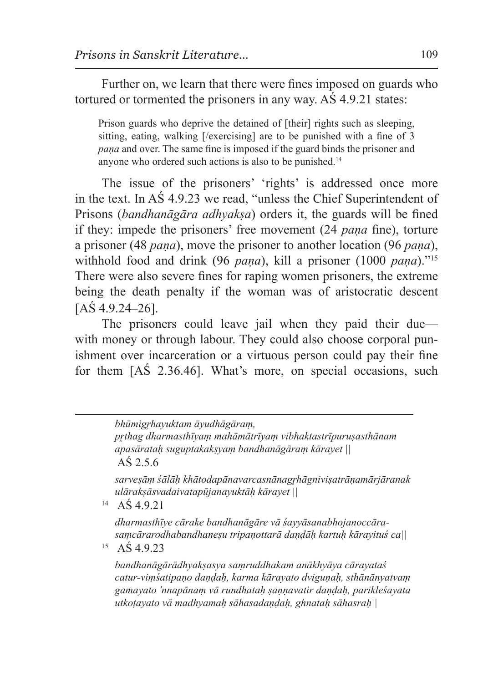Further on, we learn that there were fines imposed on guards who tortured or tormented the prisoners in any way. AŚ 4.9.21 states:

Prison guards who deprive the detained of [their] rights such as sleeping, sitting, eating, walking [/exercising] are to be punished with a fine of 3 *paṇa* and over. The same fine is imposed if the guard binds the prisoner and anyone who ordered such actions is also to be punished.<sup>14</sup>

The issue of the prisoners' 'rights' is addressed once more in the text. In AŚ 4.9.23 we read, "unless the Chief Superintendent of Prisons (*bandhanāgāra adhyakṣa*) orders it, the guards will be fined if they: impede the prisoners' free movement (24 *paṇa* fine), torture a prisoner (48 *paṇa*), move the prisoner to another location (96 *paṇa*), withhold food and drink (96 *pana*), kill a prisoner (1000 *pana*)."<sup>15</sup> There were also severe fines for raping women prisoners, the extreme being the death penalty if the woman was of aristocratic descent  $[A\& 4.9.24 - 26]$ .

The prisoners could leave jail when they paid their due with money or through labour. They could also choose corporal punishment over incarceration or a virtuous person could pay their fine for them [AŚ 2.36.46]. What's more, on special occasions, such

> *bhūmigr̥hayuktam āyudhāgāraṃ, pr̥thag dharmasthīyaṃ mahāmātrīyaṃ vibhaktastrīpuruṣasthānam apasārataḥ suguptakakṣyaṃ bandhanāgāraṃ kārayet ||* AŚ 2.5.6

*sarveṣāṃ śālāḥ khātodapānavarcasnānagr̥hāgniviṣatrāṇamārjāranak ulārakṣāsvadaivatapūjanayuktāḥ kārayet ||*

 $^{14}$  AS 4.9.21

*dharmasthīye cārake bandhanāgāre vā śayyāsanabhojanoccārasaṃcārarodhabandhaneṣu tripaṇottarā daṇḍāḥ kartuḥ kārayituś ca||*

<sup>15</sup> AŚ 4.9.23

*bandhanāgārādhyakṣasya saṃruddhakam anākhyāya cārayataś catur-viṃśatipaṇo daṇḍaḥ, karma kārayato dviguṇaḥ, sthānānyatvaṃ gamayato 'nnapānaṃ vā rundhataḥ ṣaṇṇavatir daṇḍaḥ, parikleśayata utkoṭayato vā madhyamaḥ sāhasadaṇḍaḥ, ghnataḥ sāhasraḥ||*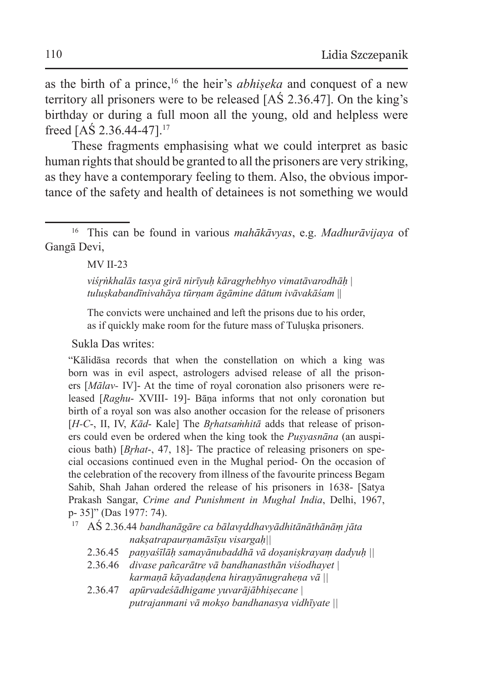as the birth of a prince,16 the heir's *abhiṣeka* and conquest of a new territory all prisoners were to be released [AŚ 2.36.47]. On the king's birthday or during a full moon all the young, old and helpless were freed [AŚ 2.36.44-47].<sup>17</sup>

These fragments emphasising what we could interpret as basic human rights that should be granted to all the prisoners are very striking, as they have a contemporary feeling to them. Also, the obvious importance of the safety and health of detainees is not something we would

<sup>16</sup> This can be found in various *mahākāvyas*, e.g. *Madhurāvijaya* of Gangā Devi,

## MV II-23

*viśr̥ṅkhalās tasya girā nirīyuḥ kāragr̥hebhyo vimatāvarodhāḥ* | *tuluṣkabandīnivahāya tūrṇam āgāmine dātum ivāvakāśam* ||

The convicts were unchained and left the prisons due to his order, as if quickly make room for the future mass of Tuluşka prisoners.

Sukla Das writes:

"Kālidāsa records that when the constellation on which a king was born was in evil aspect, astrologers advised release of all the prisoners [*Mālav-* IV]- At the time of royal coronation also prisoners were released [*Raghu*- XVIII- 19]- Bāṇa informs that not only coronation but birth of a royal son was also another occasion for the release of prisoners [*H-C*-, II, IV, *Kād*- Kale] The *Br̥hatsaṁhitā* adds that release of prisoners could even be ordered when the king took the *Puṣyasnāna* (an auspicious bath) [*Br̥hat*-, 47, 18]- The practice of releasing prisoners on special occasions continued even in the Mughal period- On the occasion of the celebration of the recovery from illness of the favourite princess Begam Sahib, Shah Jahan ordered the release of his prisoners in 1638- [Satya Prakash Sangar, *Crime and Punishment in Mughal India*, Delhi, 1967, p- 35]" (Das 1977: 74).

<sup>17</sup> AŚ 2.36.44 *bandhanāgāre ca bālavr̥ddhavyādhitānāthānāṃ jātanakṣatrapaurṇamāsīṣu visargaḥ||*

- 2.36.45 *paṇyaśīlāḥ samayānubaddhā vā doṣaniṣkrayaṃ dadyuḥ ||*
- 2.36.46 *divase pañcarātre vā bandhanasthān viśodhayet | karmaṇā kāyadaṇḍena hiraṇyānugraheṇa vā ||*
- 2.36.47 *apūrvadeśādhigame yuvarājābhiṣecane | putrajanmani vā mokṣo bandhanasya vidhīyate ||*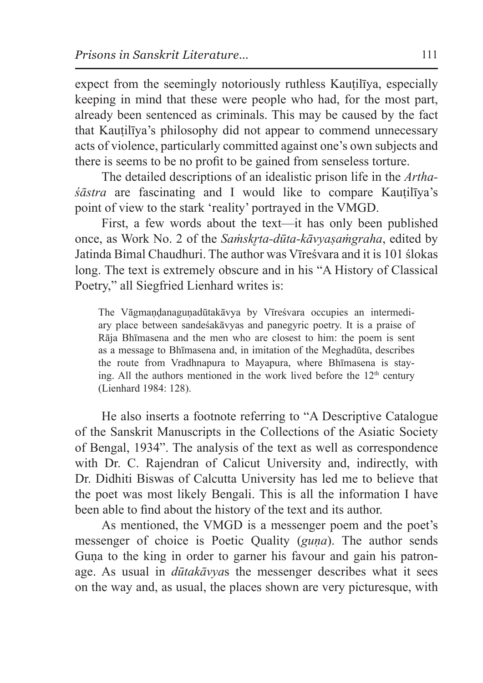expect from the seemingly notoriously ruthless Kautiliya, especially keeping in mind that these were people who had, for the most part, already been sentenced as criminals. This may be caused by the fact that Kauṭilīya's philosophy did not appear to commend unnecessary acts of violence, particularly committed against one's own subjects and there is seems to be no profit to be gained from senseless torture.

The detailed descriptions of an idealistic prison life in the *Arthaśāstra* are fascinating and I would like to compare Kauṭilīya's point of view to the stark 'reality' portrayed in the VMGD.

First, a few words about the text—it has only been published once, as Work No. 2 of the *Saṁskr̥ta-dūta-kāvyaṣaṁgraha*, edited by Jatinda Bimal Chaudhuri. The author was Vīreśvara and it is 101 ślokas long. The text is extremely obscure and in his "A History of Classical Poetry," all Siegfried Lienhard writes is:

The Vāgmaṇḍanaguṇadūtakāvya by Vīreśvara occupies an intermediary place between sandeśakāvyas and panegyric poetry. It is a praise of Rāja Bhīmasena and the men who are closest to him: the poem is sent as a message to Bhīmasena and, in imitation of the Meghadūta, describes the route from Vradhnapura to Mayapura, where Bhīmasena is staying. All the authors mentioned in the work lived before the  $12<sup>th</sup>$  century (Lienhard 1984: 128).

He also inserts a footnote referring to "A Descriptive Catalogue of the Sanskrit Manuscripts in the Collections of the Asiatic Society of Bengal, 1934". The analysis of the text as well as correspondence with Dr. C. Rajendran of Calicut University and, indirectly, with Dr. Didhiti Biswas of Calcutta University has led me to believe that the poet was most likely Bengali. This is all the information I have been able to find about the history of the text and its author.

As mentioned, the VMGD is a messenger poem and the poet's messenger of choice is Poetic Quality (*guṇa*). The author sends Guna to the king in order to garner his favour and gain his patronage. As usual in *dūtakāvya*s the messenger describes what it sees on the way and, as usual, the places shown are very picturesque, with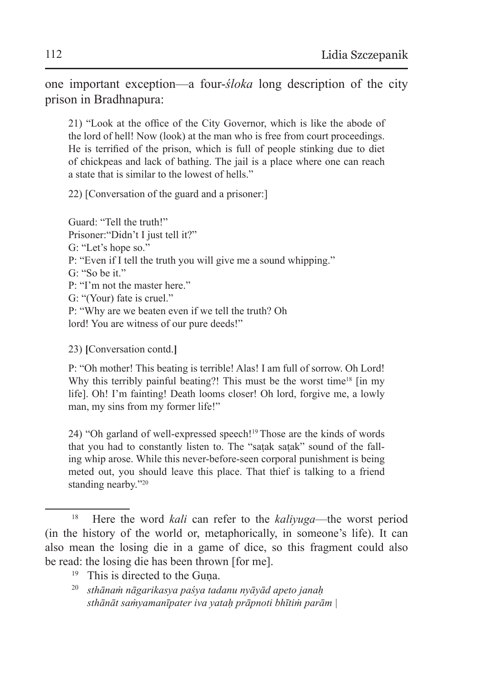one important exception—a four-*śloka* long description of the city prison in Bradhnapura:

21) "Look at the office of the City Governor, which is like the abode of the lord of hell! Now (look) at the man who is free from court proceedings. He is terrified of the prison, which is full of people stinking due to diet of chickpeas and lack of bathing. The jail is a place where one can reach a state that is similar to the lowest of hells."

22) [Conversation of the guard and a prisoner:]

Guard: "Tell the truth!" Prisoner: "Didn't I just tell it?" G: "Let's hope so." P: "Even if I tell the truth you will give me a sound whipping." G: "So be it." P: "I'm not the master here." G: "(Your) fate is cruel." P: "Why are we beaten even if we tell the truth? Oh lord! You are witness of our pure deeds!"

23) **[**Conversation contd.**]**

P: "Oh mother! This beating is terrible! Alas! I am full of sorrow. Oh Lord! Why this terribly painful beating?! This must be the worst time<sup>18</sup> [in my life]. Oh! I'm fainting! Death looms closer! Oh lord, forgive me, a lowly man, my sins from my former life!"

24) "Oh garland of well-expressed speech!<sup>19</sup> Those are the kinds of words that you had to constantly listen to. The "saṭak saṭak" sound of the falling whip arose. While this never-before-seen corporal punishment is being meted out, you should leave this place. That thief is talking to a friend standing nearby."<sup>20</sup>

- <sup>19</sup> This is directed to the Guna.
- <sup>20</sup> *sthānaṁ nāgarikasya paśya tadanu nyāyād apeto janaḥ sthānāt saṁyamanīpater iva yataḥ prāpnoti bhītiṁ parām |*

<sup>18</sup> Here the word *kali* can refer to the *kaliyuga*—the worst period (in the history of the world or, metaphorically, in someone's life). It can also mean the losing die in a game of dice, so this fragment could also be read: the losing die has been thrown [for me].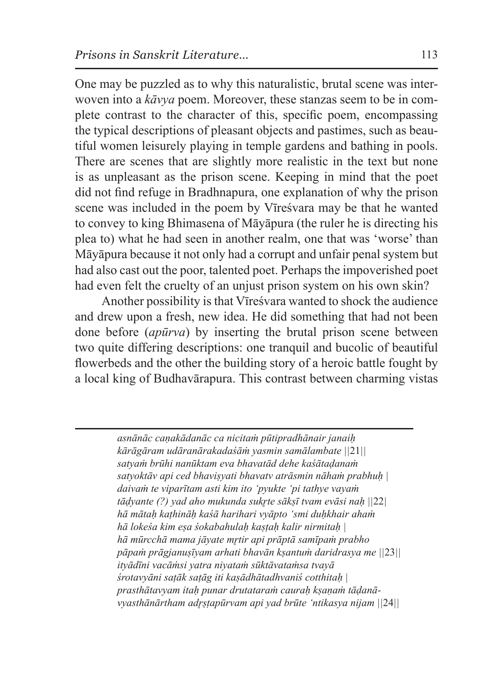One may be puzzled as to why this naturalistic, brutal scene was interwoven into a *kāvya* poem. Moreover, these stanzas seem to be in complete contrast to the character of this, specific poem, encompassing the typical descriptions of pleasant objects and pastimes, such as beautiful women leisurely playing in temple gardens and bathing in pools. There are scenes that are slightly more realistic in the text but none is as unpleasant as the prison scene. Keeping in mind that the poet did not find refuge in Bradhnapura, one explanation of why the prison scene was included in the poem by Vīreśvara may be that he wanted to convey to king Bhimasena of Māyāpura (the ruler he is directing his plea to) what he had seen in another realm, one that was 'worse' than Māyāpura because it not only had a corrupt and unfair penal system but had also cast out the poor, talented poet. Perhaps the impoverished poet had even felt the cruelty of an unjust prison system on his own skin?

Another possibility is that Vīreśvara wanted to shock the audience and drew upon a fresh, new idea. He did something that had not been done before (*apūrva*) by inserting the brutal prison scene between two quite differing descriptions: one tranquil and bucolic of beautiful flowerbeds and the other the building story of a heroic battle fought by a local king of Budhavārapura. This contrast between charming vistas

> *asnānāc caṇakādanāc ca nicitaṁ pūtipradhānair janaiḥ kārāgāram udāranārakadaśāṁ yasmin samālambate ||*21*|| satyaṁ brūhi nanūktam eva bhavatād dehe kaśātaḍanaṁ satyoktāv api ced bhaviṣyati bhavatv atrāsmin nāhaṁ prabhuḥ | daivaṁ te viparītam asti kim ito 'pyukte 'pi tathye vayaṁ tāḍyante (?) yad aho mukunda sukr̥te sākṣī tvam evāsi naḥ ||*22*| hā mātaḥ kaṭhināḥ kaśā harihari vyāpto 'smi duḥkhair ahaṁ hā lokeśa kim eṣa śokabahulaḥ kaṣṭaḥ kalir nirmitaḥ | hā mūrcchā mama jāyate mr̥tir api prāptā samīpaṁ prabho pāpaṁ prāgjanuṣīyam arhati bhavān kṣantuṁ daridrasya me ||*23*|| ityādīni vacāṁsi yatra niyataṁ sūktāvataṁsa tvayā śrotavyāni saṭāk saṭāg iti kaṣādhātadhvaniś cotthitaḥ | prasthātavyam itaḥ punar drutataraṁ cauraḥ kṣaṇaṁ tāḍanāvyasthānārtham adr̥ṣṭapūrvam api yad brūte 'ntikasya nijam ||*24*||*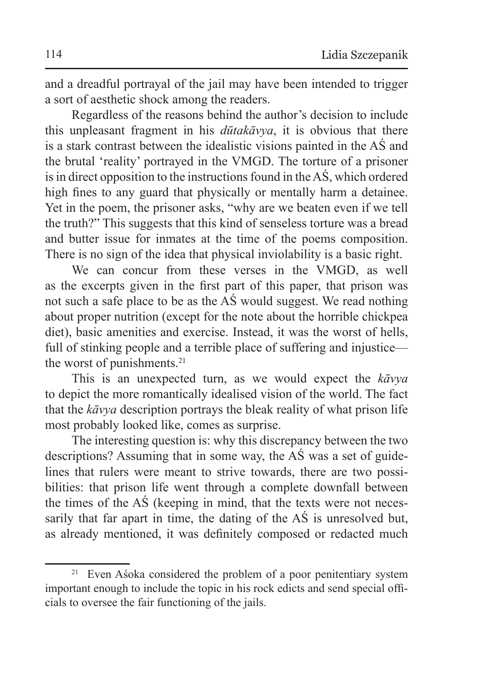and a dreadful portrayal of the jail may have been intended to trigger a sort of aesthetic shock among the readers.

Regardless of the reasons behind the author's decision to include this unpleasant fragment in his *dūtakāvya*, it is obvious that there is a stark contrast between the idealistic visions painted in the AŚ and the brutal 'reality' portrayed in the VMGD. The torture of a prisoner is in direct opposition to the instructions found in the  $\overline{AS}$ , which ordered high fines to any guard that physically or mentally harm a detainee. Yet in the poem, the prisoner asks, "why are we beaten even if we tell the truth?" This suggests that this kind of senseless torture was a bread and butter issue for inmates at the time of the poems composition. There is no sign of the idea that physical inviolability is a basic right.

We can concur from these verses in the VMGD, as well as the excerpts given in the first part of this paper, that prison was not such a safe place to be as the AŚ would suggest. We read nothing about proper nutrition (except for the note about the horrible chickpea diet), basic amenities and exercise. Instead, it was the worst of hells, full of stinking people and a terrible place of suffering and injustice the worst of punishments.<sup>21</sup>

This is an unexpected turn, as we would expect the *kāvya* to depict the more romantically idealised vision of the world. The fact that the *kāvya* description portrays the bleak reality of what prison life most probably looked like, comes as surprise.

The interesting question is: why this discrepancy between the two descriptions? Assuming that in some way, the AŚ was a set of guidelines that rulers were meant to strive towards, there are two possibilities: that prison life went through a complete downfall between the times of the AŚ (keeping in mind, that the texts were not necessarily that far apart in time, the dating of the AŚ is unresolved but, as already mentioned, it was definitely composed or redacted much

<sup>&</sup>lt;sup>21</sup> Even Aśoka considered the problem of a poor penitentiary system important enough to include the topic in his rock edicts and send special officials to oversee the fair functioning of the jails.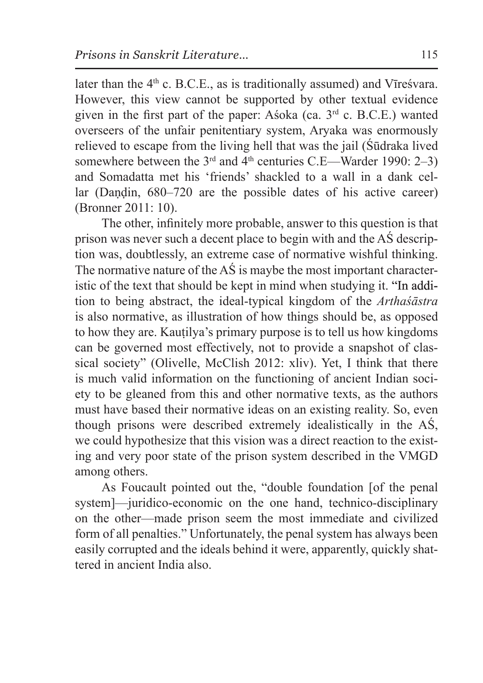later than the  $4<sup>th</sup>$  c. B.C.E., as is traditionally assumed) and Vīreśvara. However, this view cannot be supported by other textual evidence given in the first part of the paper: Asoka (ca.  $3<sup>rd</sup>$  c. B.C.E.) wanted overseers of the unfair penitentiary system, Aryaka was enormously relieved to escape from the living hell that was the jail (Śūdraka lived somewhere between the  $3<sup>rd</sup>$  and  $4<sup>th</sup>$  centuries C.E—Warder 1990: 2–3) and Somadatta met his 'friends' shackled to a wall in a dank cellar (Dandin, 680–720 are the possible dates of his active career) (Bronner 2011: 10).

The other, infinitely more probable, answer to this question is that prison was never such a decent place to begin with and the AŚ description was, doubtlessly, an extreme case of normative wishful thinking. The normative nature of the AŚ is maybe the most important characteristic of the text that should be kept in mind when studying it. "In addition to being abstract, the ideal-typical kingdom of the *Arthaśāstra* is also normative, as illustration of how things should be, as opposed to how they are. Kauṭilya's primary purpose is to tell us how kingdoms can be governed most effectively, not to provide a snapshot of classical society" (Olivelle, McClish 2012: xliv). Yet, I think that there is much valid information on the functioning of ancient Indian society to be gleaned from this and other normative texts, as the authors must have based their normative ideas on an existing reality. So, even though prisons were described extremely idealistically in the AŚ, we could hypothesize that this vision was a direct reaction to the existing and very poor state of the prison system described in the VMGD among others.

As Foucault pointed out the, "double foundation [of the penal system]—juridico-economic on the one hand, technico-disciplinary on the other—made prison seem the most immediate and civilized form of all penalties." Unfortunately, the penal system has always been easily corrupted and the ideals behind it were, apparently, quickly shattered in ancient India also.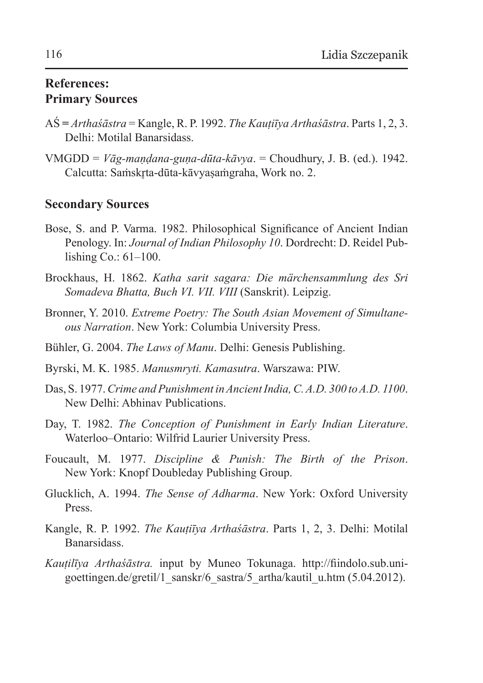## **References: Primary Sources**

- AŚ **=** *Arthaśāstra* = Kangle, R. P. 1992. *The Kauṭiīya Arthaśāstra*. Parts 1, 2, 3. Delhi: Motilal Banarsidass.
- VMGDD = *Vāg-maṇḍana-guṇa-dūta-kāvya*. = Choudhury, J. B. (ed.). 1942. Calcutta: Saṁskrta-dūta-kāvyasaṁgraha, Work no. 2.

## **Secondary Sources**

- Bose, S. and P. Varma. 1982. Philosophical Significance of Ancient Indian Penology. In: *Journal of Indian Philosophy 10*. Dordrecht: D. Reidel Publishing Co.: 61–100.
- Brockhaus, H. 1862. *Katha sarit sagara: Die märchensammlung des Sri Somadeva Bhatta, Buch VI. VII. VIII* (Sanskrit). Leipzig.
- Bronner, Y. 2010. *Extreme Poetry: The South Asian Movement of Simultaneous Narration*. New York: Columbia University Press.
- Bühler, G. 2004. *The Laws of Manu*. Delhi: Genesis Publishing.
- Byrski, M. K. 1985. *Manusmryti. Kamasutra*. Warszawa: PIW.
- Das, S. 1977. *Crime and Punishment inAncient India, C.A.D. 300 toA.D. 1100*. New Delhi: Abhinav Publications.
- Day, T. 1982. *The Conception of Punishment in Early Indian Literature*. Waterloo–Ontario: Wilfrid Laurier University Press.
- Foucault, M. 1977. *Discipline & Punish: The Birth of the Prison*. New York: Knopf Doubleday Publishing Group.
- Glucklich, A. 1994. *The Sense of Adharma*. New York: Oxford University Press.
- Kangle, R. P. 1992. *The Kauṭiīya Arthaśāstra*. Parts 1, 2, 3. Delhi: Motilal Banarsidass.
- *Kauṭilīya Arthaśāstra.* input by Muneo Tokunaga. http://fiindolo.sub.unigoettingen.de/gretil/1\_sanskr/6\_sastra/5\_artha/kautil\_u.htm (5.04.2012).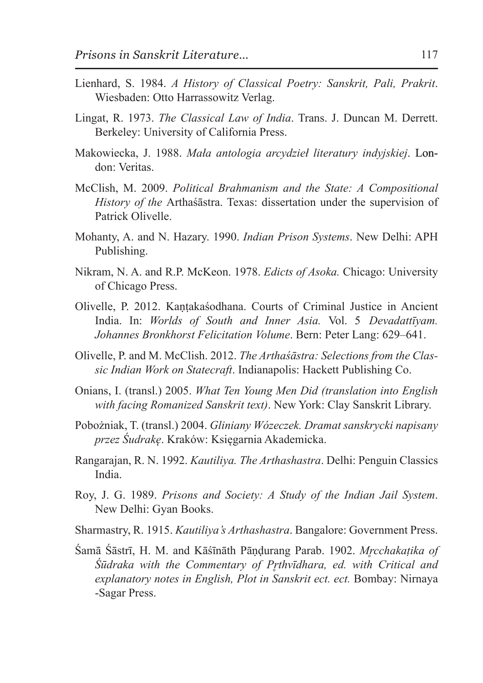- Lienhard, S. 1984. *A History of Classical Poetry: Sanskrit, Pali, Prakrit*. Wiesbaden: Otto Harrassowitz Verlag.
- Lingat, R. 1973. *The Classical Law of India*. Trans. J. Duncan M. Derrett. Berkeley: University of California Press.
- Makowiecka, J. 1988. *Mała antologia arcydzieł literatury indyjskiej*. London: Veritas.
- McClish, M. 2009. *Political Brahmanism and the State: A Compositional History of the* Arthaśāstra. Texas: dissertation under the supervision of Patrick Olivelle.
- Mohanty, A. and N. Hazary. 1990. *Indian Prison Systems*. New Delhi: APH Publishing.
- Nikram, N. A. and R.P. McKeon. 1978. *Edicts of Asoka.* Chicago: University of Chicago Press.
- Olivelle, P. 2012. Kaṇṭakaśodhana. Courts of Criminal Justice in Ancient India. In: *Worlds of South and Inner Asia.* Vol. 5 *Devadattīyam. Johannes Bronkhorst Felicitation Volume*. Bern: Peter Lang: 629–641.
- Olivelle, P. and M. McClish. 2012. *The Arthaśāstra: Selections from the Classic Indian Work on Statecraft*. Indianapolis: Hackett Publishing Co.
- Onians, I. (transl.) 2005. *What Ten Young Men Did (translation into English with facing Romanized Sanskrit text)*. New York: Clay Sanskrit Library.
- Pobożniak, T. (transl.) 2004. *Gliniany Wózeczek. Dramat sanskrycki napisany przez Śudrakę*. Kraków: Księgarnia Akademicka.
- Rangarajan, R. N. 1992. *Kautiliya. The Arthashastra*. Delhi: Penguin Classics India.
- Roy, J. G. 1989. *Prisons and Society: A Study of the Indian Jail System*. New Delhi: Gyan Books.
- Sharmastry, R. 1915. *Kautiliya's Arthashastra*. Bangalore: Government Press.
- Śamā Śāstrī, H. M. and Kāśīnāth Pāṇḍurang Parab. 1902. *Mr̥cchakaṭika of Śūdraka with the Commentary of Pr̥thvīdhara, ed. with Critical and explanatory notes in English, Plot in Sanskrit ect. ect.* Bombay: Nirnaya -Sagar Press.